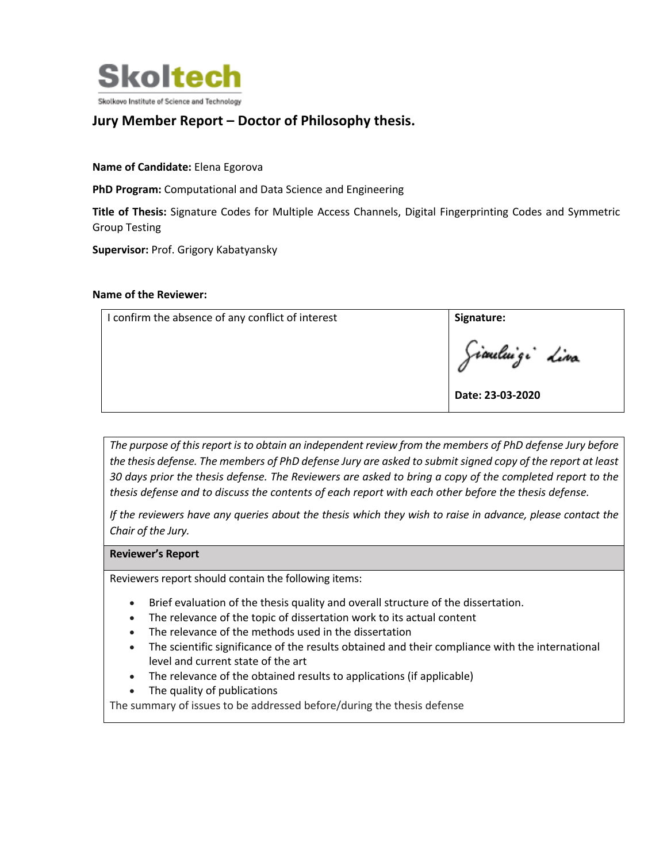

## **Jury Member Report – Doctor of Philosophy thesis.**

**Name of Candidate:** Elena Egorova

**PhD Program:** Computational and Data Science and Engineering

**Title of Thesis:** Signature Codes for Multiple Access Channels, Digital Fingerprinting Codes and Symmetric Group Testing

**Supervisor:** Prof. Grigory Kabatyansky

## **Name of the Reviewer:**

| I confirm the absence of any conflict of interest | Signature:       |
|---------------------------------------------------|------------------|
|                                                   | Giauluigi diva   |
|                                                   | Date: 23-03-2020 |

*The purpose of this report is to obtain an independent review from the members of PhD defense Jury before the thesis defense. The members of PhD defense Jury are asked to submit signed copy of the report at least 30 days prior the thesis defense. The Reviewers are asked to bring a copy of the completed report to the thesis defense and to discuss the contents of each report with each other before the thesis defense.* 

*If the reviewers have any queries about the thesis which they wish to raise in advance, please contact the Chair of the Jury.*

## **Reviewer's Report**

Reviewers report should contain the following items:

- Brief evaluation of the thesis quality and overall structure of the dissertation.
- The relevance of the topic of dissertation work to its actual content
- The relevance of the methods used in the dissertation
- The scientific significance of the results obtained and their compliance with the international level and current state of the art
- The relevance of the obtained results to applications (if applicable)
- The quality of publications

The summary of issues to be addressed before/during the thesis defense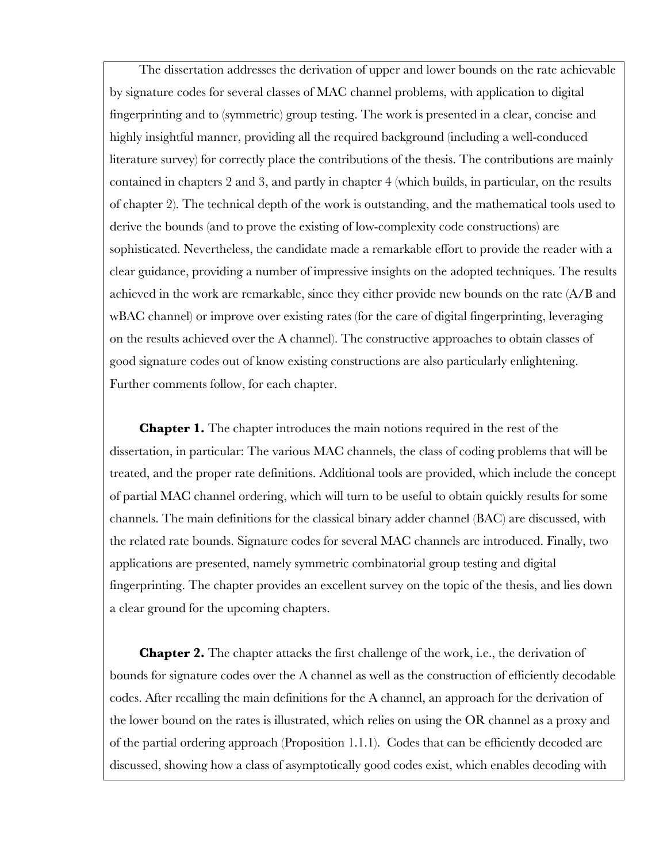The dissertation addresses the derivation of upper and lower bounds on the rate achievable by signature codes for several classes of MAC channel problems, with application to digital fingerprinting and to (symmetric) group testing. The work is presented in a clear, concise and highly insightful manner, providing all the required background (including a well-conduced literature survey) for correctly place the contributions of the thesis. The contributions are mainly contained in chapters 2 and 3, and partly in chapter 4 (which builds, in particular, on the results of chapter 2). The technical depth of the work is outstanding, and the mathematical tools used to derive the bounds (and to prove the existing of low-complexity code constructions) are sophisticated. Nevertheless, the candidate made a remarkable effort to provide the reader with a clear guidance, providing a number of impressive insights on the adopted techniques. The results achieved in the work are remarkable, since they either provide new bounds on the rate (A/B and wBAC channel) or improve over existing rates (for the care of digital fingerprinting, leveraging on the results achieved over the A channel). The constructive approaches to obtain classes of good signature codes out of know existing constructions are also particularly enlightening. Further comments follow, for each chapter.

**Chapter 1.** The chapter introduces the main notions required in the rest of the dissertation, in particular: The various MAC channels, the class of coding problems that will be treated, and the proper rate definitions. Additional tools are provided, which include the concept of partial MAC channel ordering, which will turn to be useful to obtain quickly results for some channels. The main definitions for the classical binary adder channel (BAC) are discussed, with the related rate bounds. Signature codes for several MAC channels are introduced. Finally, two applications are presented, namely symmetric combinatorial group testing and digital fingerprinting. The chapter provides an excellent survey on the topic of the thesis, and lies down a clear ground for the upcoming chapters.

**Chapter 2.** The chapter attacks the first challenge of the work, i.e., the derivation of bounds for signature codes over the A channel as well as the construction of efficiently decodable codes. After recalling the main definitions for the A channel, an approach for the derivation of the lower bound on the rates is illustrated, which relies on using the OR channel as a proxy and of the partial ordering approach (Proposition 1.1.1). Codes that can be efficiently decoded are discussed, showing how a class of asymptotically good codes exist, which enables decoding with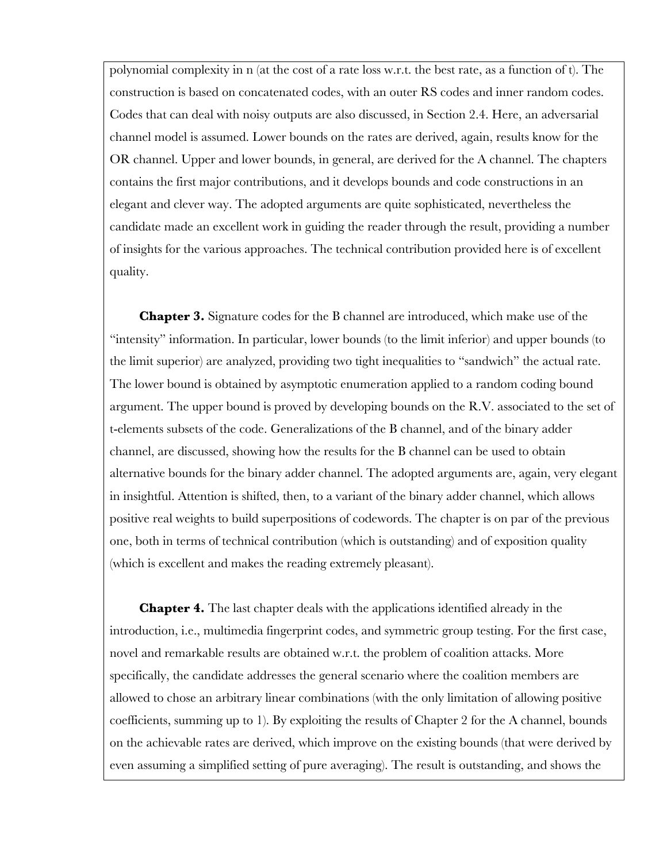polynomial complexity in n (at the cost of a rate loss w.r.t. the best rate, as a function of t). The construction is based on concatenated codes, with an outer RS codes and inner random codes. Codes that can deal with noisy outputs are also discussed, in Section 2.4. Here, an adversarial channel model is assumed. Lower bounds on the rates are derived, again, results know for the OR channel. Upper and lower bounds, in general, are derived for the A channel. The chapters contains the first major contributions, and it develops bounds and code constructions in an elegant and clever way. The adopted arguments are quite sophisticated, nevertheless the candidate made an excellent work in guiding the reader through the result, providing a number of insights for the various approaches. The technical contribution provided here is of excellent quality.

**Chapter 3.** Signature codes for the B channel are introduced, which make use of the "intensity" information. In particular, lower bounds (to the limit inferior) and upper bounds (to the limit superior) are analyzed, providing two tight inequalities to "sandwich" the actual rate. The lower bound is obtained by asymptotic enumeration applied to a random coding bound argument. The upper bound is proved by developing bounds on the R.V. associated to the set of t-elements subsets of the code. Generalizations of the B channel, and of the binary adder channel, are discussed, showing how the results for the B channel can be used to obtain alternative bounds for the binary adder channel. The adopted arguments are, again, very elegant in insightful. Attention is shifted, then, to a variant of the binary adder channel, which allows positive real weights to build superpositions of codewords. The chapter is on par of the previous one, both in terms of technical contribution (which is outstanding) and of exposition quality (which is excellent and makes the reading extremely pleasant).

**Chapter 4.** The last chapter deals with the applications identified already in the introduction, i.e., multimedia fingerprint codes, and symmetric group testing. For the first case, novel and remarkable results are obtained w.r.t. the problem of coalition attacks. More specifically, the candidate addresses the general scenario where the coalition members are allowed to chose an arbitrary linear combinations (with the only limitation of allowing positive coefficients, summing up to 1). By exploiting the results of Chapter 2 for the A channel, bounds on the achievable rates are derived, which improve on the existing bounds (that were derived by even assuming a simplified setting of pure averaging). The result is outstanding, and shows the